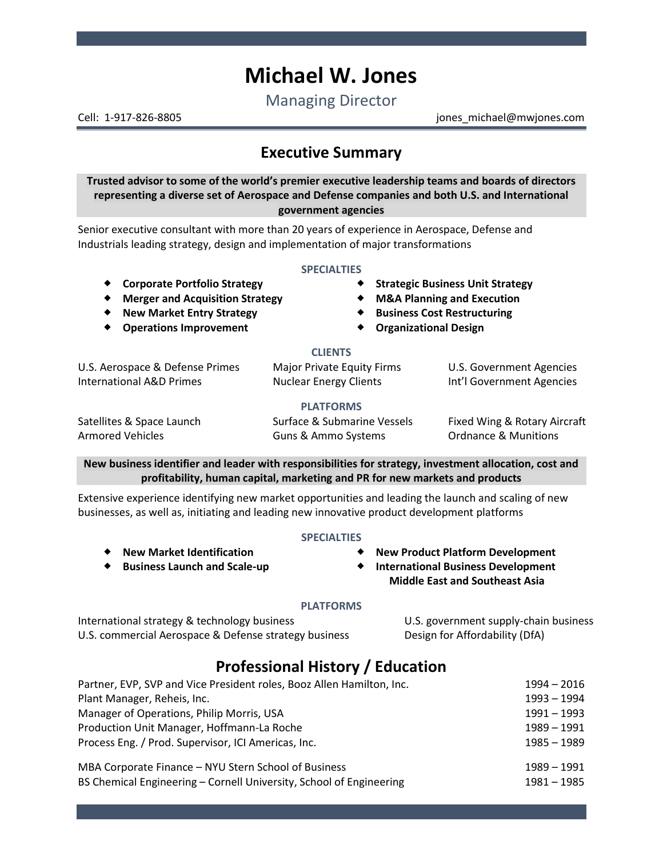# **Michael W. Jones**

Managing Director

Cell: 1-917-826-8805 jones\_michael@mwjones.com

# **Executive Summary**

**Trusted advisor to some of the world's premier executive leadership teams and boards of directors representing a diverse set of Aerospace and Defense companies and both U.S. and International government agencies**

Senior executive consultant with more than 20 years of experience in Aerospace, Defense and Industrials leading strategy, design and implementation of major transformations

#### **SPECIALTIES**

- 
- **Merger and Acquisition Strategy M&A Planning and Execution**
- 
- 
- **Corporate Portfolio Strategy**  $\bullet$  **Strategic Business Unit Strategy** 
	-
- **New Market Entry Strategy**  $\bullet$  **Business Cost Restructuring** 
	- **Operations Improvement Organizational Design**

#### **CLIENTS**

U.S. Aerospace & Defense Primes Major Private Equity Firms U.S. Government Agencies International A&D Primes Nuclear Energy Clients Int'l Government Agencies

## **PLATFORMS**

Armored Vehicles **All Accords** Guns & Ammo Systems **Cammo Systems** Ordnance & Munitions

Satellites & Space Launch Surface & Submarine Vessels Fixed Wing & Rotary Aircraft

**New business identifier and leader with responsibilities for strategy, investment allocation, cost and profitability, human capital, marketing and PR for new markets and products**

Extensive experience identifying new market opportunities and leading the launch and scaling of new businesses, as well as, initiating and leading new innovative product development platforms

#### **SPECIALTIES**

- **New Product Platform Development**
- **International Business Development Middle East and Southeast Asia**

## **PLATFORMS**

International strategy & technology business U.S. government supply-chain business U.S. commercial Aerospace & Defense strategy business Design for Affordability (DfA)

 **New Market Identification Business Launch and Scale-up**

# **Professional History / Education**

| Partner, EVP, SVP and Vice President roles, Booz Allen Hamilton, Inc.<br>Plant Manager, Reheis, Inc. | $1994 - 2016$<br>$1993 - 1994$ |
|------------------------------------------------------------------------------------------------------|--------------------------------|
|                                                                                                      |                                |
| Production Unit Manager, Hoffmann-La Roche                                                           | $1989 - 1991$                  |
| Process Eng. / Prod. Supervisor, ICI Americas, Inc.                                                  | $1985 - 1989$                  |
| MBA Corporate Finance - NYU Stern School of Business                                                 | $1989 - 1991$                  |
| BS Chemical Engineering - Cornell University, School of Engineering                                  | $1981 - 1985$                  |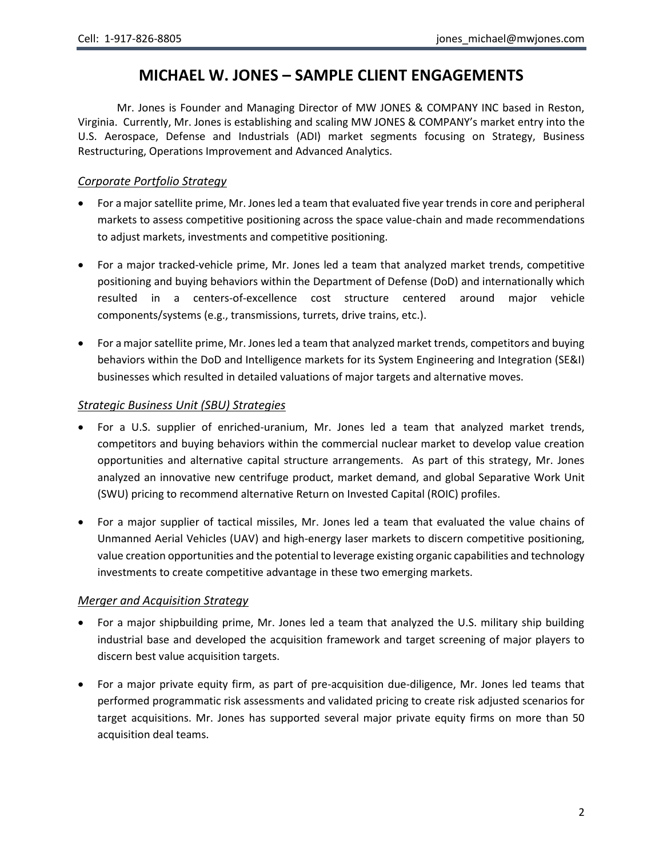# **MICHAEL W. JONES – SAMPLE CLIENT ENGAGEMENTS**

Mr. Jones is Founder and Managing Director of MW JONES & COMPANY INC based in Reston, Virginia. Currently, Mr. Jones is establishing and scaling MW JONES & COMPANY's market entry into the U.S. Aerospace, Defense and Industrials (ADI) market segments focusing on Strategy, Business Restructuring, Operations Improvement and Advanced Analytics.

# *Corporate Portfolio Strategy*

- For a major satellite prime, Mr. Jones led a team that evaluated five year trends in core and peripheral markets to assess competitive positioning across the space value-chain and made recommendations to adjust markets, investments and competitive positioning.
- For a major tracked-vehicle prime, Mr. Jones led a team that analyzed market trends, competitive positioning and buying behaviors within the Department of Defense (DoD) and internationally which resulted in a centers-of-excellence cost structure centered around major vehicle components/systems (e.g., transmissions, turrets, drive trains, etc.).
- For a major satellite prime, Mr. Jones led a team that analyzed market trends, competitors and buying behaviors within the DoD and Intelligence markets for its System Engineering and Integration (SE&I) businesses which resulted in detailed valuations of major targets and alternative moves.

# *Strategic Business Unit (SBU) Strategies*

- For a U.S. supplier of enriched-uranium, Mr. Jones led a team that analyzed market trends, competitors and buying behaviors within the commercial nuclear market to develop value creation opportunities and alternative capital structure arrangements. As part of this strategy, Mr. Jones analyzed an innovative new centrifuge product, market demand, and global Separative Work Unit (SWU) pricing to recommend alternative Return on Invested Capital (ROIC) profiles.
- For a major supplier of tactical missiles, Mr. Jones led a team that evaluated the value chains of Unmanned Aerial Vehicles (UAV) and high-energy laser markets to discern competitive positioning, value creation opportunities and the potential to leverage existing organic capabilities and technology investments to create competitive advantage in these two emerging markets.

# *Merger and Acquisition Strategy*

- For a major shipbuilding prime, Mr. Jones led a team that analyzed the U.S. military ship building industrial base and developed the acquisition framework and target screening of major players to discern best value acquisition targets.
- For a major private equity firm, as part of pre-acquisition due-diligence, Mr. Jones led teams that performed programmatic risk assessments and validated pricing to create risk adjusted scenarios for target acquisitions. Mr. Jones has supported several major private equity firms on more than 50 acquisition deal teams.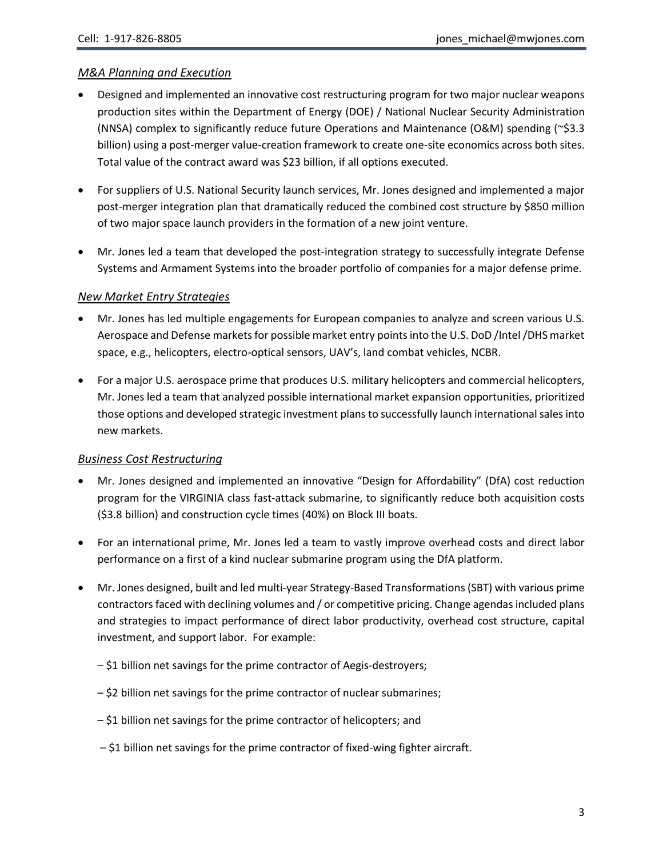# *M&A Planning and Execution*

- Designed and implemented an innovative cost restructuring program for two major nuclear weapons production sites within the Department of Energy (DOE) / National Nuclear Security Administration (NNSA) complex to significantly reduce future Operations and Maintenance (O&M) spending (~\$3.3 billion) using a post-merger value-creation framework to create one-site economics across both sites. Total value of the contract award was \$23 billion, if all options executed.
- For suppliers of U.S. National Security launch services, Mr. Jones designed and implemented a major post-merger integration plan that dramatically reduced the combined cost structure by \$850 million of two major space launch providers in the formation of a new joint venture.
- Mr. Jones led a team that developed the post-integration strategy to successfully integrate Defense Systems and Armament Systems into the broader portfolio of companies for a major defense prime.

# *New Market Entry Strategies*

- Mr. Jones has led multiple engagements for European companies to analyze and screen various U.S. Aerospace and Defense markets for possible market entry points into the U.S. DoD /Intel /DHS market space, e.g., helicopters, electro-optical sensors, UAV's, land combat vehicles, NCBR.
- For a major U.S. aerospace prime that produces U.S. military helicopters and commercial helicopters, Mr. Jones led a team that analyzed possible international market expansion opportunities, prioritized those options and developed strategic investment plans to successfully launch international sales into new markets.

# *Business Cost Restructuring*

- Mr. Jones designed and implemented an innovative "Design for Affordability" (DfA) cost reduction program for the VIRGINIA class fast-attack submarine, to significantly reduce both acquisition costs (\$3.8 billion) and construction cycle times (40%) on Block III boats.
- For an international prime, Mr. Jones led a team to vastly improve overhead costs and direct labor performance on a first of a kind nuclear submarine program using the DfA platform.
- Mr. Jones designed, built and led multi-year Strategy-Based Transformations (SBT) with various prime contractors faced with declining volumes and / or competitive pricing. Change agendas included plans and strategies to impact performance of direct labor productivity, overhead cost structure, capital investment, and support labor. For example:
	- \$1 billion net savings for the prime contractor of Aegis-destroyers;
	- \$2 billion net savings for the prime contractor of nuclear submarines;
	- \$1 billion net savings for the prime contractor of helicopters; and
	- \$1 billion net savings for the prime contractor of fixed-wing fighter aircraft.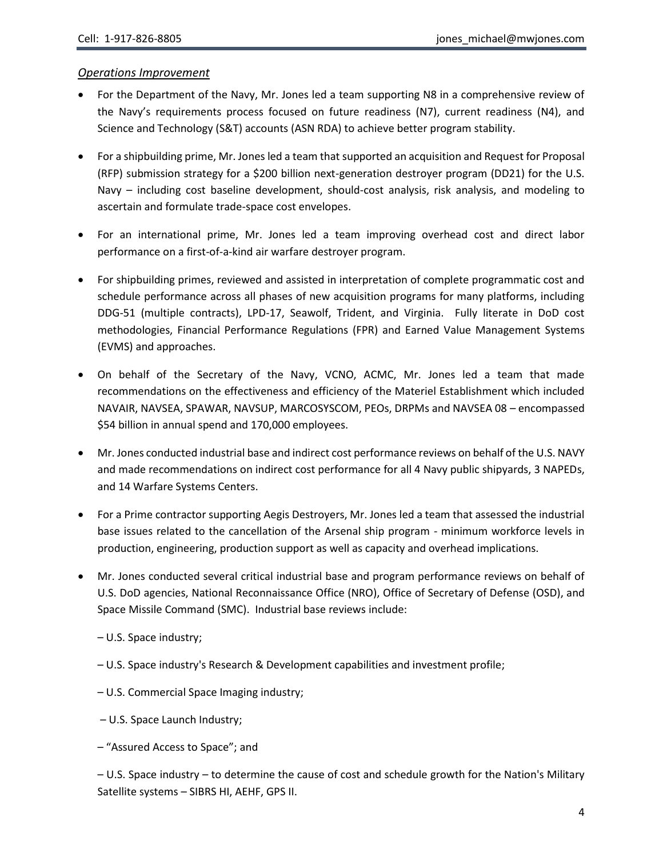#### *Operations Improvement*

- For the Department of the Navy, Mr. Jones led a team supporting N8 in a comprehensive review of the Navy's requirements process focused on future readiness (N7), current readiness (N4), and Science and Technology (S&T) accounts (ASN RDA) to achieve better program stability.
- For a shipbuilding prime, Mr. Jones led a team that supported an acquisition and Request for Proposal (RFP) submission strategy for a \$200 billion next-generation destroyer program (DD21) for the U.S. Navy – including cost baseline development, should-cost analysis, risk analysis, and modeling to ascertain and formulate trade-space cost envelopes.
- For an international prime, Mr. Jones led a team improving overhead cost and direct labor performance on a first-of-a-kind air warfare destroyer program.
- For shipbuilding primes, reviewed and assisted in interpretation of complete programmatic cost and schedule performance across all phases of new acquisition programs for many platforms, including DDG-51 (multiple contracts), LPD-17, Seawolf, Trident, and Virginia. Fully literate in DoD cost methodologies, Financial Performance Regulations (FPR) and Earned Value Management Systems (EVMS) and approaches.
- On behalf of the Secretary of the Navy, VCNO, ACMC, Mr. Jones led a team that made recommendations on the effectiveness and efficiency of the Materiel Establishment which included NAVAIR, NAVSEA, SPAWAR, NAVSUP, MARCOSYSCOM, PEOs, DRPMs and NAVSEA 08 – encompassed \$54 billion in annual spend and 170,000 employees.
- Mr. Jones conducted industrial base and indirect cost performance reviews on behalf of the U.S. NAVY and made recommendations on indirect cost performance for all 4 Navy public shipyards, 3 NAPEDs, and 14 Warfare Systems Centers.
- For a Prime contractor supporting Aegis Destroyers, Mr. Jones led a team that assessed the industrial base issues related to the cancellation of the Arsenal ship program - minimum workforce levels in production, engineering, production support as well as capacity and overhead implications.
- Mr. Jones conducted several critical industrial base and program performance reviews on behalf of U.S. DoD agencies, National Reconnaissance Office (NRO), Office of Secretary of Defense (OSD), and Space Missile Command (SMC). Industrial base reviews include:
	- U.S. Space industry;
	- U.S. Space industry's Research & Development capabilities and investment profile;
	- U.S. Commercial Space Imaging industry;
	- U.S. Space Launch Industry;
	- "Assured Access to Space"; and

– U.S. Space industry – to determine the cause of cost and schedule growth for the Nation's Military Satellite systems – SIBRS HI, AEHF, GPS II.